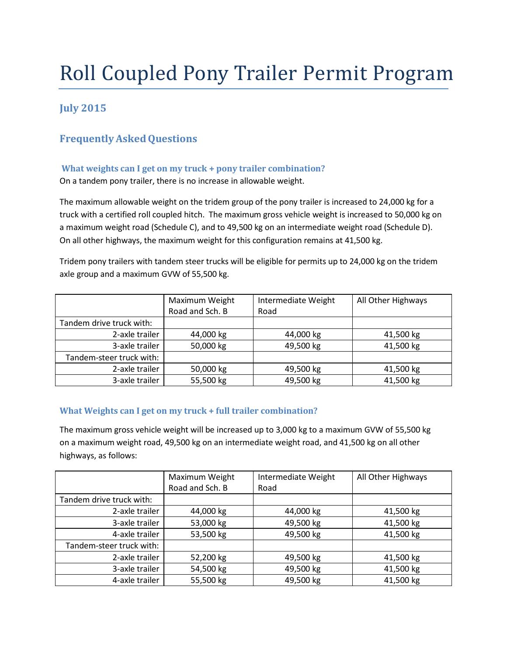# Roll Coupled Pony Trailer Permit Program

# **July 2015**

# **FrequentlyAskedQuestions**

# **What weights can I get on my truck + pony trailer combination?**

On a tandem pony trailer, there is no increase in allowable weight.

The maximum allowable weight on the tridem group of the pony trailer is increased to 24,000 kg for a truck with a certified roll coupled hitch. The maximum gross vehicle weight is increased to 50,000 kg on a maximum weight road (Schedule C), and to 49,500 kg on an intermediate weight road (Schedule D). On all other highways, the maximum weight for this configuration remains at 41,500 kg.

Tridem pony trailers with tandem steer trucks will be eligible for permits up to 24,000 kg on the tridem axle group and a maximum GVW of 55,500 kg.

|                          | Maximum Weight<br>Road and Sch. B | Intermediate Weight<br>Road | All Other Highways |
|--------------------------|-----------------------------------|-----------------------------|--------------------|
| Tandem drive truck with: |                                   |                             |                    |
| 2-axle trailer           | 44,000 kg                         | 44,000 kg                   | 41,500 kg          |
| 3-axle trailer           | 50,000 kg                         | 49,500 kg                   | 41,500 kg          |
| Tandem-steer truck with: |                                   |                             |                    |
| 2-axle trailer           | 50,000 kg                         | 49,500 kg                   | 41,500 kg          |
| 3-axle trailer           | 55,500 kg                         | 49,500 kg                   | 41,500 kg          |

## **What Weights can I get on my truck + full trailer combination?**

The maximum gross vehicle weight will be increased up to 3,000 kg to a maximum GVW of 55,500 kg on a maximum weight road, 49,500 kg on an intermediate weight road, and 41,500 kg on all other highways, as follows:

|                          | Maximum Weight  | Intermediate Weight | All Other Highways |
|--------------------------|-----------------|---------------------|--------------------|
|                          | Road and Sch. B | Road                |                    |
| Tandem drive truck with: |                 |                     |                    |
| 2-axle trailer           | 44,000 kg       | 44,000 kg           | 41,500 kg          |
| 3-axle trailer           | 53,000 kg       | 49,500 kg           | 41,500 kg          |
| 4-axle trailer           | 53,500 kg       | 49,500 kg           | 41,500 kg          |
| Tandem-steer truck with: |                 |                     |                    |
| 2-axle trailer           | 52,200 kg       | 49,500 kg           | 41,500 kg          |
| 3-axle trailer           | 54,500 kg       | 49,500 kg           | 41,500 kg          |
| 4-axle trailer           | 55,500 kg       | 49,500 kg           | 41,500 kg          |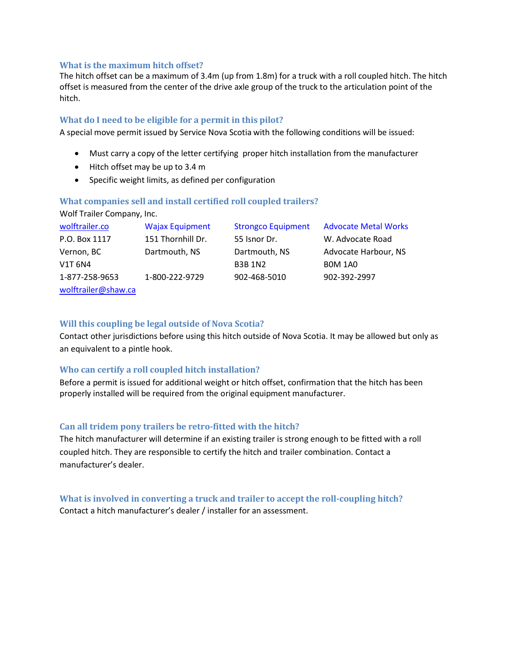#### **What is the maximum hitch offset?**

The hitch offset can be a maximum of 3.4m (up from 1.8m) for a truck with a roll coupled hitch. The hitch offset is measured from the center of the drive axle group of the truck to the articulation point of the hitch.

#### **What do I need to be eligible for a permit in this pilot?**

A special move permit issued by Service Nova Scotia with the following conditions will be issued:

- Must carry a copy of the letter certifying proper hitch installation from the manufacturer
- Hitch offset may be up to 3.4 m
- Specific weight limits, as defined per configuration

#### **What companies sell and install certified roll coupled trailers?**

Wolf Trailer Company, Inc.

| wolftrailer.co      | <b>Wajax Equipment</b> | <b>Strongco Equipment</b> | <b>Advocate Metal Works</b> |
|---------------------|------------------------|---------------------------|-----------------------------|
| P.O. Box 1117       | 151 Thornhill Dr.      | 55 Isnor Dr.              | W. Advocate Road            |
| Vernon, BC          | Dartmouth, NS          | Dartmouth, NS             | Advocate Harbour, NS        |
| V1T 6N4             |                        | <b>B3B 1N2</b>            | <b>BOM 1A0</b>              |
| 1-877-258-9653      | 1-800-222-9729         | 902-468-5010              | 902-392-2997                |
| wolftrailer@shaw.ca |                        |                           |                             |

#### **Will this coupling be legal outside of Nova Scotia?**

Contact other jurisdictions before using this hitch outside of Nova Scotia. It may be allowed but only as an equivalent to a pintle hook.

#### **Who can certify a roll coupled hitch installation?**

Before a permit is issued for additional weight or hitch offset, confirmation that the hitch has been properly installed will be required from the original equipment manufacturer.

#### **Can all tridem pony trailers be retro-fitted with the hitch?**

The hitch manufacturer will determine if an existing trailer is strong enough to be fitted with a roll coupled hitch. They are responsible to certify the hitch and trailer combination. Contact a manufacturer's dealer.

**What is involved in converting a truck and trailer to accept the roll-coupling hitch?** Contact a hitch manufacturer's dealer / installer for an assessment.